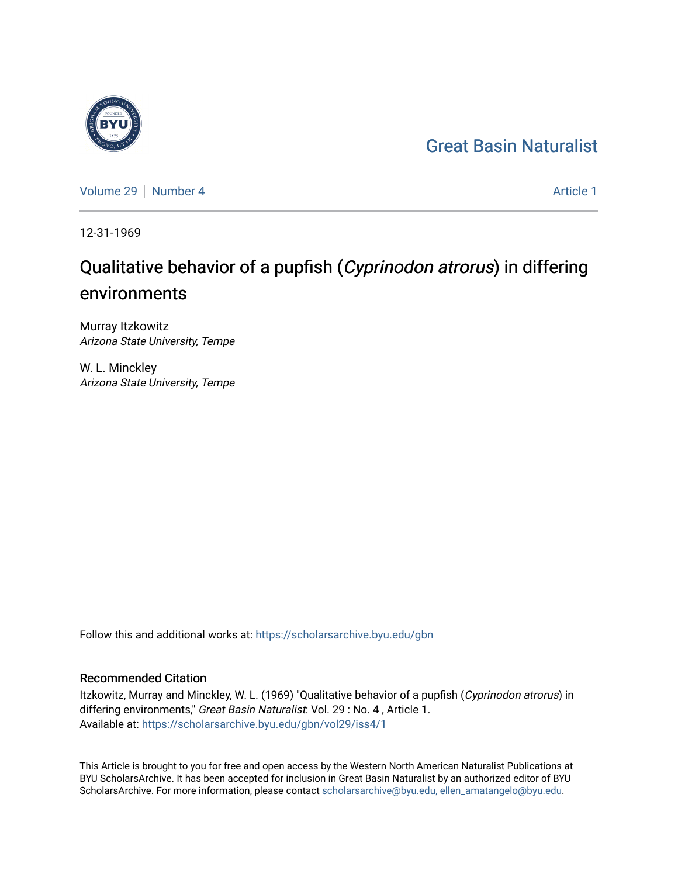# [Great Basin Naturalist](https://scholarsarchive.byu.edu/gbn)

[Volume 29](https://scholarsarchive.byu.edu/gbn/vol29) [Number 4](https://scholarsarchive.byu.edu/gbn/vol29/iss4) [Article 1](https://scholarsarchive.byu.edu/gbn/vol29/iss4/1) Article 1

12-31-1969

# Qualitative behavior of a pupfish (Cyprinodon atrorus) in differing environments

Murray Itzkowitz Arizona State University, Tempe

W. L. Minckley Arizona State University, Tempe

Follow this and additional works at: [https://scholarsarchive.byu.edu/gbn](https://scholarsarchive.byu.edu/gbn?utm_source=scholarsarchive.byu.edu%2Fgbn%2Fvol29%2Fiss4%2F1&utm_medium=PDF&utm_campaign=PDFCoverPages) 

# Recommended Citation

Itzkowitz, Murray and Minckley, W. L. (1969) "Qualitative behavior of a pupfish (Cyprinodon atrorus) in differing environments," Great Basin Naturalist: Vol. 29 : No. 4, Article 1. Available at: [https://scholarsarchive.byu.edu/gbn/vol29/iss4/1](https://scholarsarchive.byu.edu/gbn/vol29/iss4/1?utm_source=scholarsarchive.byu.edu%2Fgbn%2Fvol29%2Fiss4%2F1&utm_medium=PDF&utm_campaign=PDFCoverPages)

This Article is brought to you for free and open access by the Western North American Naturalist Publications at BYU ScholarsArchive. It has been accepted for inclusion in Great Basin Naturalist by an authorized editor of BYU ScholarsArchive. For more information, please contact [scholarsarchive@byu.edu, ellen\\_amatangelo@byu.edu.](mailto:scholarsarchive@byu.edu,%20ellen_amatangelo@byu.edu)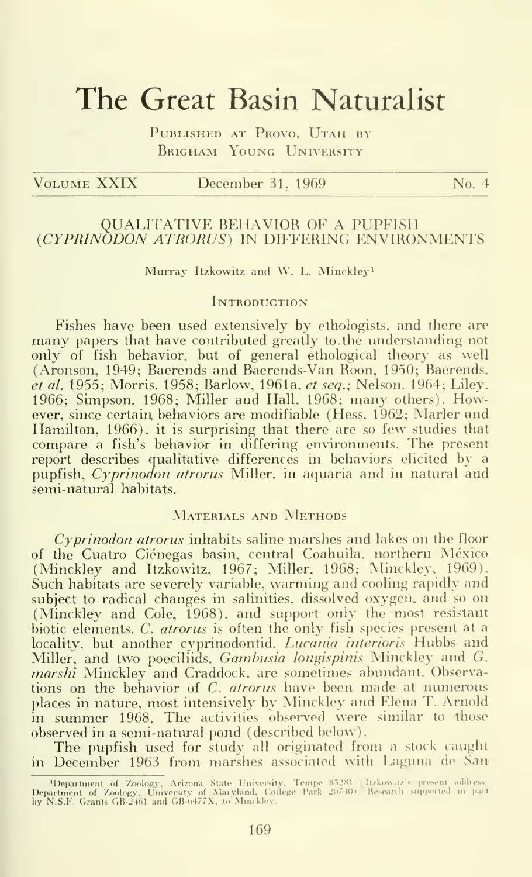# The Great Basin Naturalist

PUBLISHED AT PROVO, UTAH BY BRIGHAM YOUNG UNIVERSITY

VOLUME XXIX December 31, 1969 No. 4

## QUALITATIVE BEHAVIOR OF A PUPFISH (CYPRINODON ATRORUS) IN DIFFERING ENVIRONMENTS

Murray Itzkowitz and W. L. Minckley'

#### **INTRODUCTION**

Fishes have been used extensively by ethologists. and there are many papers that have contributed greatly to. the understanding not only of fish behavior, but of general ethological theory as well (Aronson, 1949; Baerends and Baerends-Van Boon, 1950; Baerends. et al. 1955; Morris. 1958; Barlow, 1961a, et seq.; Nelson. 1964; Liley. 1966; Simpson. 1968; Miller and Hall. 1968; many others). However, since certain, behaviors are modifiable (Hess. 1962; Marler and Hamilton, 1966). it is surprising that there are so few studies that compare a fish's behavior in differing environments. The present report describes qualitative differences in behaviors elicited by a pupfish, Cyprinodon atrorus Miller, in aquaria and in natural and semi-natural habitats.

#### Materials and Methods

Cyprinodon atrorus inhabits saline marshes and lakes on the floor of the Cuatro Ciénegas basin, central Coahuila. northern México (Minckley and Itzkowitz, 1967; Miller, 1968; Minckley, 1969). Such habitats are severely variable, warming and cooling rapidly and subject to radical changes in salinities, dissolved oxygen, and so on (Minckley and Cole, 1968), and support only the most resistant biotic elements. C. atrorus is often the only fish species present at a locality, but another cyprinodontid. Lucania interioris Hubbs and Miller, and two poeciliids. *Gambusia longispinis* Minckley and *G*. *marshi* Minckley and Craddock. are sometimes abundant. Observations on the behavior of C. atrorus have been made at numerous places in nature, most intensively by Minckley and Elena T. Arnold in summer 1968. The activities observed were similar to those observed in a semi-natural pond (described below).

The pupfish used for study all originated from a stock caught in December 1963 from marshes associated with Laguna de San

<sup>&</sup>quot;Department of Zoology, Arizona State University, Tempe 85281 (Itzkowitz's present address)<br>Department of Zoology, University of Maryland, College Park 20740). Research supported in part<br>by N.S.F. Granis GB-2461 and GB-047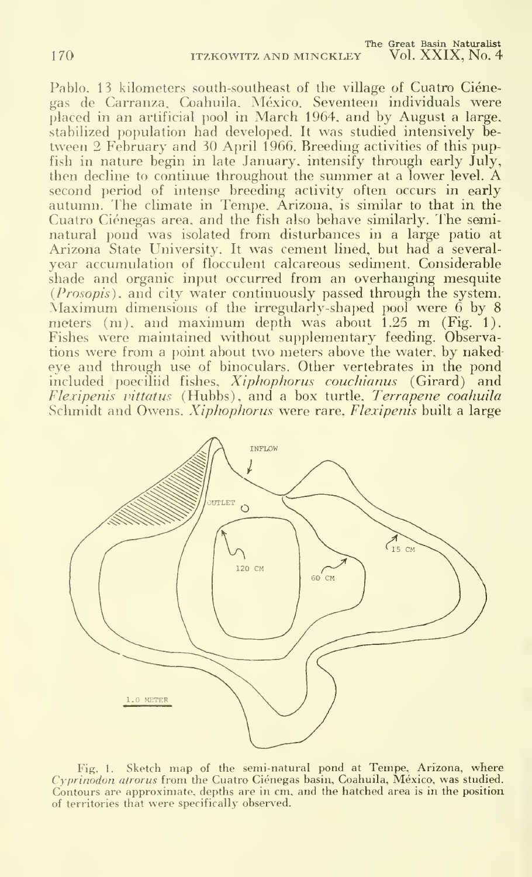Pablo. 13 kilometers south-southeast of the village of Cuatro Ciénegas de Carranza. Coahuila. Mexico. Seventeen individuals were placed in an artificial pool in March 1964, and by August a large, stabilized population had developed. It was studied intensively between 2 February and 30 April 1966. Breeding activities of this pupfish in nature begin in late January, intensify through early  $\tilde{J}$ uly, then decline to continue throughout the summer at <sup>a</sup> lower level. A second period of intense breeding activity often occurs in early autumn. The climate in Tempe. Arizona, is similar to that in the Cuatro Ciénegas area, and the fish also behave similarly. The seminatural pond was isolated from disturbances in a large patio at Arizona State University. It was cement lined, but had a several year accumulation of flocculent calcareous sediment. Considerable shade and organic input occurred from an overhanging mesquite (Prosopis) . and city water continuously passed through the system. Maximum dimensions of the irregularly-shaped pool were  $6$  by 8 meters (m), and maximum depth was about 1.25 m (Fig. 1). Fishes were maintained without supplementary feeding. Observations were from a point about two meters above the water, by nakedeye and through use of binoculars. Other vertebrates in the pond included poeciliid fishes, *Xiphophorus couchianus* (Girard) and Flexipenis vittatus (Hubbs), and a box turtle, Terrapene coahuila Schmidt and Owens. *Xiphophorus* were rare, *Flexipenis* built a large



Fig. 1. Sketch map of the semi-natural pond at Tempe, Arizona, where  $Cyrinodon atrorus$  from the Cuatro Ciénegas basin, Coahuila, México, was studied. Contours are approximate, depths are in cm, and the hatched area is in the position of territories that were specifically observed.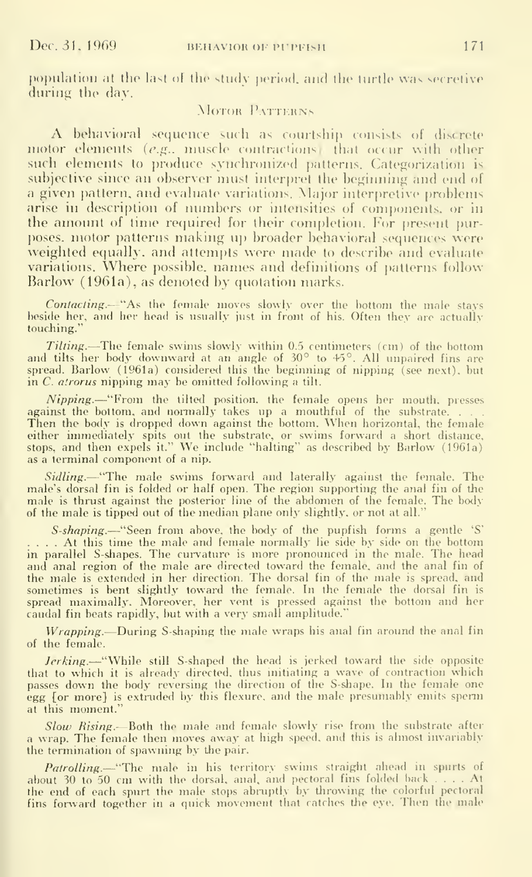population at the last of the study period, and the turtle was secretive during the day.

### MOTOR PATTERNS

A behavioral sequence such as courtship consists of discrete motor elements  $(e.g.,$  muscle contractions) that occur with other such elements to produce synchronized patterns. Categorization is subjective since an observer must interpret the beginning and end of a given pattern, and evaluate variations. Major interpretive problems arise in description of numbers or intensities of components, or in the amount of time required for their completion. For present purposes, motor patterns making up broader behavioral sequences were weighted equally, and attempts were made to describe and evaluate variations. Where possible, names and definitions of patterns follow Barlow  $(1961a)$ , as denoted by quotation marks.

Contacting.<sup>2</sup> As the female moves slowly over the bottom the male stays beside her, and her head is usually just in front of his. Often they are actually touching."

Tilting. —The female swims slowly within 0.5 centimeters (cm) of the bottom and tilts her body downward at an angle of  $30^{\circ}$  to  $45^{\circ}$ . All unpaired fins are spread. Barlow (1961a) considered this the beginning of nipping (see next), but in C. alrorus nipping may be omitted following <sup>a</sup> tilt.

Nipping.—"From the tilted position, the female opens her mouth, presses against the bottom, and normally takes up a mouthful of the substrate. . . Then the body is dropped down against the bottom. When horizontal, the female either immediately spits out the substrate, or swims forward a short distance, stops, and then expels it." We include "halting" as described by Barlow (1961a) as a terminal component of a nip.

Sidling.—"The male swims forward and laterally against the female. The male's dorsal fin is folded or half open. The region supporting the anal fin of the male is thrust against the posterior line of the abdomen of the female. The body of the male is tipped out of the median plane only slightly, or not at all."

S-shaping.—"Seen from above, the body of the pupfish forms a gentle 'S' .... At this time the male and female normally lie side by side on the bottom in parallel S-shapes. The curvature is more pronounced in the male. The head and anal region of the male are directed toward the female, and the anal fin of the male is extended in her direction. The dorsal fin of the male isspread, and sometimes is bent slightly toward the female. In the female the dorsal fin is spread maximally. Moreover, her vent is pressed against the bottom and her caudal fin beats rapidly, but with a very small amplitude."

Wrapping.—During S-shaping the male wraps his anal fin around the anal fin of the female.

Jerking.—"While still S-shaped the head is jerked toward the side opposite that to which it is already directed, thus initiating a wave of contraction which passes down the body reversing the direction of the S-shape. In the female one egg [or more] is extruded by this flexure, and the male presumably emits sperm at this moment."

Slow Rising.—Both the male and female slowly rise from the substrate after <sup>a</sup> wrap. The female then moves away at high speed, and this is almost invariably the termination of spawning by the pair.

Patrolling.—"The male in his territory swims straight ahead in spurts of about 30 to 50 cm with the dorsal, anal, and pectoral fins folded back .... At the end of each spurt the male stops abruptly by throwing the colorful pectoral fins forward together in <sup>a</sup> quick movement that catches the eye. Then the male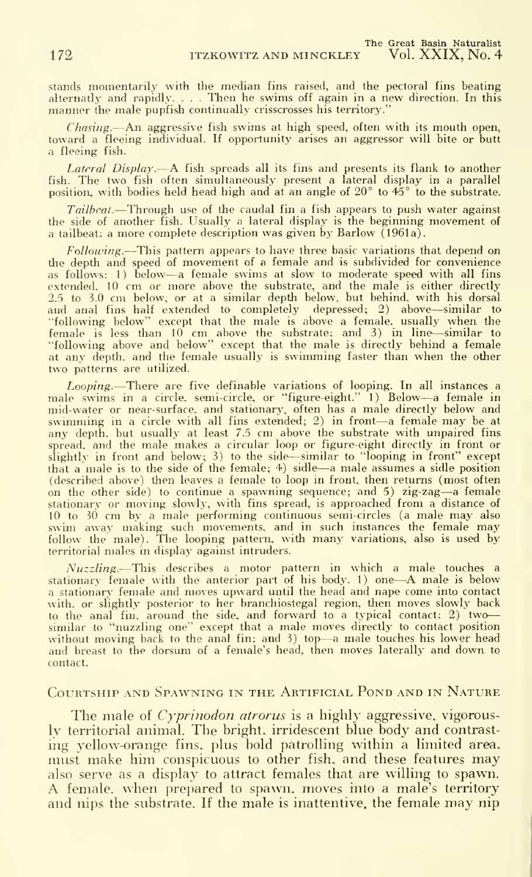stands momentarily with the median fins raised, and the pectoral fins beating alternatly and rapidly. . . . Then he swims off again in a new direction. In this manner the male pupfish continually crisscrosses his territory."

Chasing.—An aggressive fish swims at high speed, often with its mouth open, toward <sup>a</sup> fleeing individual. If opportunity arises an aggressor will bite or butt a fleeing fish.

Lateral Display.—A fish spreads all its fins and presents its flank to another fish. The two fish often simultaneously present <sup>a</sup> lateral display in a parallel position, with bodies held head high and at an angle of 20° to 45° to the substrate.

Tailbeat.—Through use of the caudal fin a fish appears to push water against the side of another fish. Usually <sup>a</sup> lateral display is the beginning movement of a tailbeat; a more complete description was given by Barlow (1961a).

Following.—This pattern appears to have three basic variations that depend on the depth and speed of movement of a female and is subdivided for convenience as follows: 1) below—a female swims at slow to moderate speed with all fins extended. 10 cm or more above the substrate, and the male is either directly 2.5 to 3.0 cm below, or at a similar depth below, but behind, with his dorsal<br>and anal fins half extended to completely depressed; 2) above—similar to<br>"following below" except that the male is above a female, usually when at any depth, and the female usually is swimming faster than when the other two patterns are utilized.

Looping.—There are five definable variations of looping. In all instances a<br>male swims in a circle, semi-circle, or "figure-eight." 1) Below—a female in<br>mid-water or near-surface, and stationary, often has a male directly (described above) then leaves a female to loop in front, then returns (most often on the other side) to continue <sup>a</sup> spawning sequence; and 5) zig-zag—<sup>a</sup> female stationary or moving slowly, with fins spread, is approached from a distance of <sup>10</sup> to <sup>30</sup> cm by <sup>a</sup> male performing continuous semi-circles (a male may also swim away making such movements, and in such instances the female may follow the male). The looping pattern, with many variations, also is used by territorial males in display against intruders.

Nuzzling.—This describes <sup>a</sup> motor pattern in which <sup>a</sup> male touches <sup>a</sup> stationary female with the anterior part of his body. 1) one—A male is below <sup>a</sup> stationary female and moves upward until the head and nape come into contact with, or slightly posterior to her branchiostegal region, then moves slowly back to the anal fin. around the side, and forward to a typical contact; 2) two similar to "nuzzling one" except that a male moves directly to contact position without moving back to the anal fin; and 3) top—<sup>a</sup> male touches his lower head and breast to the dorsum of <sup>a</sup> female's head, then moves laterally and down to contact.

#### Courtship and Spawning in the Artificial Pond and in Nature

The male of *Cyprinodon atrorus* is a highly aggressive, vigorously territorial animal. The bright, irridescent blue body and contrast ing yellow-orange fins, plus bold patrolling within a limited area. must make him conspicuous to other fish, and these features may also serve as a display to attract females that are willing to spawn. A female, when prepared to spawn, moves into <sup>a</sup> male's territory and nips the substrate. If the male is inattentive, the female may nip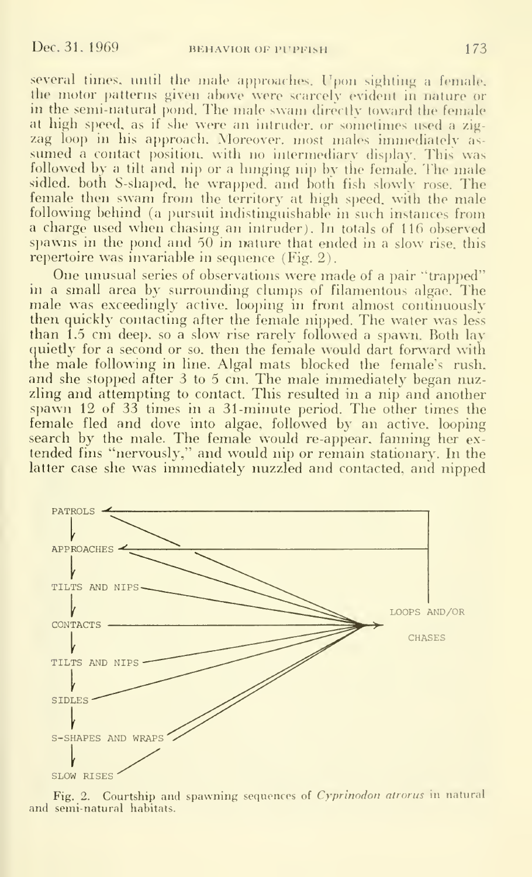several times, until the male approaches. Upon sighting a female, the motor patterns given above were scarcely evident in nature or in the semi-natural pond. The male swam directly toward the female at high speed, as if she were an intruder, or sometimes used a zigzag loop in his approach. Moreover, most males innnediately as sumed a contact position, with no intermediary display. This was followed by a tilt and nip or a lunging nip by the female. The male sidled, both S-shaped, he wrapped, and both fish slowly rose. The female then swam from the territory at high speed, with the male following behind (a pursuit indistinguishable in such instances from <sup>a</sup> charge used when chasing an intruder). In totals of 116 observed spawns in the pond and 50 in nature that ended in <sup>a</sup> slow rise, this repertoire was invariable in sequence (Fig. 2).

One unusual series of observations were made of <sup>a</sup> pair "trapped" in a small area by surrounding clumps of filamentous algae. The male was exceedingly active, looping in front almost continuously then quickly contacting after the female nipped. The water was less than 1.5 cm deep, so <sup>a</sup> slow rise rarely followed <sup>a</sup> spawn. Both lay quietly for a second or so. then the female would dart forward with the male following in line. Algal mats blocked the female's rush, and she stopped after 3 to 5 cm. The male immediately began nuzzling and attempting to contact. This resulted in a nip and another spawn 12 of 33 times in <sup>a</sup> 31 -minute period. The other times the female fled and dove into algae, followed by an active, looping search by the male. The female would re-appear, fanning her ex tended fins "nervously," and would nip or remain stationary. In the latter case she was immediately nuzzled and contacted, and nipped



Fig. 2. Courtship and spawning sequences of Cyprinodon atrorus in natural and semi-natural habitats.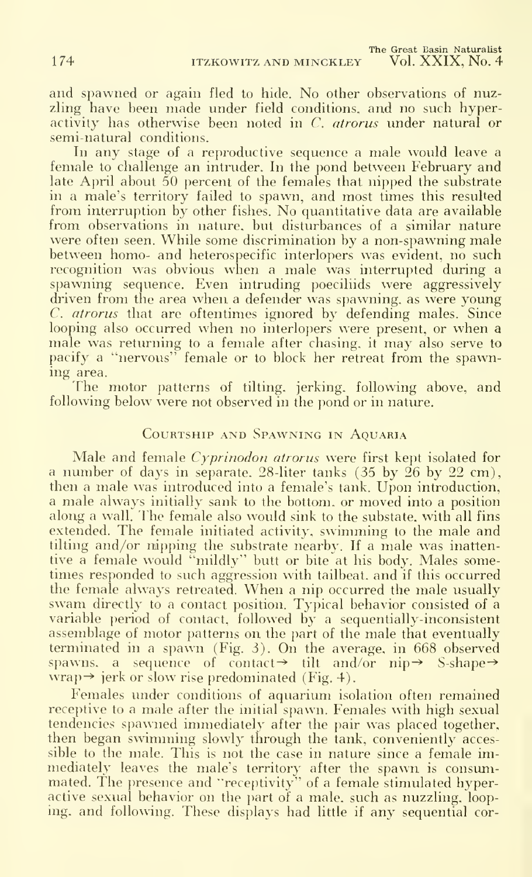and spawned or again fled to hide. No other observations of nuz zling have been made under field conditions, and no such hyperactivity has otherwise been noted in  $C$ . atrorus under natural or semi-natural conditions.

In any stage of a reproductive sequence a male would leave a female to challenge an intruder. In the pond between February and late April about 50 percent of the females that nipped the substrate in a male's territory failed to spawn, and most times this resulted from interruption by other fishes. No quantitative data are available from observations in nature, but disturbances of a similar nature were often seen. While some discrimination by a non-spawning male between homo- and heterospecific interlopers was evident, no such recognition was obvious when <sup>a</sup> male was interrupted during a spawning sequence. Even intruding poeciliids were aggressively driven from the area when <sup>a</sup> defender was spawning, as were young C. atrorus that are oftentimes ignored by defending males. Since looping also occurred when no interlopers were present, or when a male was returning to <sup>a</sup> female after chasing, it may also serve to pacify a "nervous" female or to block her retreat from the spawning area.

The motor patterns of tilting, jerking, following above, and following below were not observed in the pond or in nature.

### Courtship and Spawning in Aquaria

Male and female *Cyprinodon atrorus* were first kept isolated for <sup>a</sup> number of days in separate. 28-liter tanks (35 by 26 by 22 cm), then <sup>a</sup> male was introduced into <sup>a</sup> female's tank. Upon introduction, <sup>a</sup> male always initially sank to the bottom, or moved into <sup>a</sup> position along a wall. The female also would sink to the substate, with all fins extended. The female initiated activity, swimming to the male and tilting and/or nipping the substrate nearby. If a male was inattentive a female would "mildly" butt or bite at his body. Males sometimes responded to such aggression with tailbeat. and if this occurred the female always retreated. When <sup>a</sup> nip occurred the male usually swam directly to <sup>a</sup> contact position. Typical behavior consisted of <sup>a</sup> variable period of contact, followed by a sequentially-inconsistent assemblage of motor patterns on the part of the male that eventually terminated in <sup>a</sup> spawn (Fig. 3). On the average, in 668 observed spawns, a sequence of contact $\rightarrow$  tilt and/or nip $\rightarrow$  S-shape $\rightarrow$ wrap  $\rightarrow$  jerk or slow rise predominated (Fig. 4).

Females under conditions of aquarium isolation often remained receptive to a male after the initial spawn. Females with high sexual tendencies spawned immediately after the pair was placed together, then began swimming slowly through the tank, conveniently accessible to the male. This is not the case in nature since a female immediately leaves the male's territory after the spawn is consummated. The presence and "receptivity" of a female stimulated hyperactive sexual behavior on the part of a male, such as nuzzling, looping, and following. These displays had little if any sequential cor-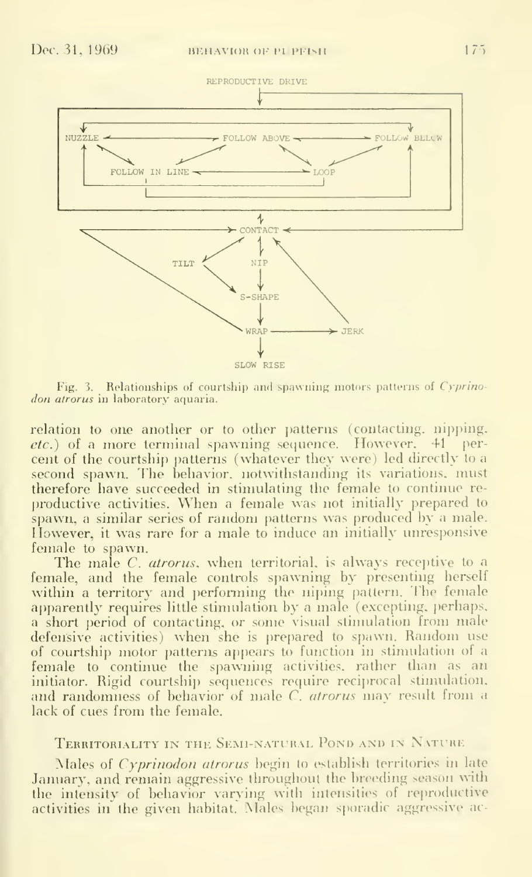

Fig. 3. Relationships of courtship and spawning motors patterns of Cyprinodon atrorus in laboratory aquaria.

relation to one another or to other patterns (contacting, nipping.  $etc.$ ) of a more terminal spawning sequence. However.  $41$  percent of the courtship patterns (whatever they were) led directly to a second spawn. The behavior, notwithstanding its variations, must therefore have succeeded in stimulating the female to continue re productive activities. When <sup>a</sup> female was not initially prepared to spawn, a similar series of random patterns was produced by a male. However, it was rare for a male to induce an initially unresponsive female to spawn.

The male C. atrorus, when territorial, is always receptive to a female, and the female controls spawning by presenting herself within a territory and performing the niping pattern. The female apparently requires little stimulation by a male (excepting, perhaps, a short period of contacting, or some visual stimulation from male defensive activities) when she is prepared to spawn. Random use of courtship motor patterns appears to function in stimulation of a female to continue the spawning activities, rather than as an initiator. Rigid courtship sequences require reciprocal stimulation, and randomness of behavior of male C, atrorus may result from a lack of cues from the female.

### TERRITORIALITY IN THE SEMI-NATURAL POND AND IN NATURE.

Males of Cyprinodon atrorus begin to establish territories in late January, and remain aggressive throughout the breeding season with the intensity of behavior varying with intensities of reproductive activities in the given habitat. Males began sporadic aggressive ac-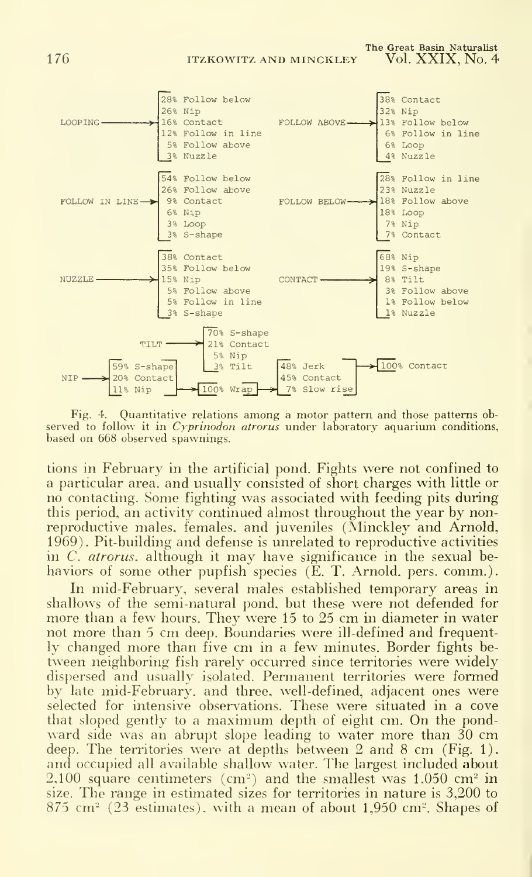

Fig. 4. Quantitative relations among a motor pattern and those patterns observed to follow it in *Cyprinodon atrorus* under laboratory aquarium conditions, based on 668 observed spawnings.

tions in February in the artificial pond. Fights were not confined to a particular area, and usually consisted of short charges with little or no contacting. Some fighting was associated with feeding pits during this period, an activity continued almost throughout the year by nonreproductive males, females, and juveniles (Minckley and Arnold, 1969). Pit-building and defense is unrelated to reproductive activities in C, atrorus, although it may have significance in the sexual behaviors of some other pupfish species (E. T. Arnold. pers. comm.).

In mid-February, several males established temporary areas in shallows of the semi-natural pond, but these were not defended for more than a few hours. They were 15 to 25 cm in diameter in water not more than 5 cm deep. Boundaries were ill-defined and frequently changed more than five cm in a few minutes. Border fights between neighboring fish rarely occurred since territories were widely dispersed and usually isolated. Permanent territories were formed by late mid-February, and three, well-defined, adjacent ones were selected for intensive observations. These were situated in a cove that sloped gently to a maximum depth of eight cm. On the pondward side was an abrupt slope leading to water more than 30 cm deep. The territories were at depths between 2 and 8 cm (Fig. 1). and occupied all available shallow water. The largest included about 2,100 square centimeters  $\text{(cm)}$  and the smallest was 1.050 cm<sup>2</sup> in size. The range in estimated sizes for territories in nature is 3,200 to  $875$  cm<sup>2</sup> (23 estimates), with a mean of about 1,950 cm<sup>2</sup>. Shapes of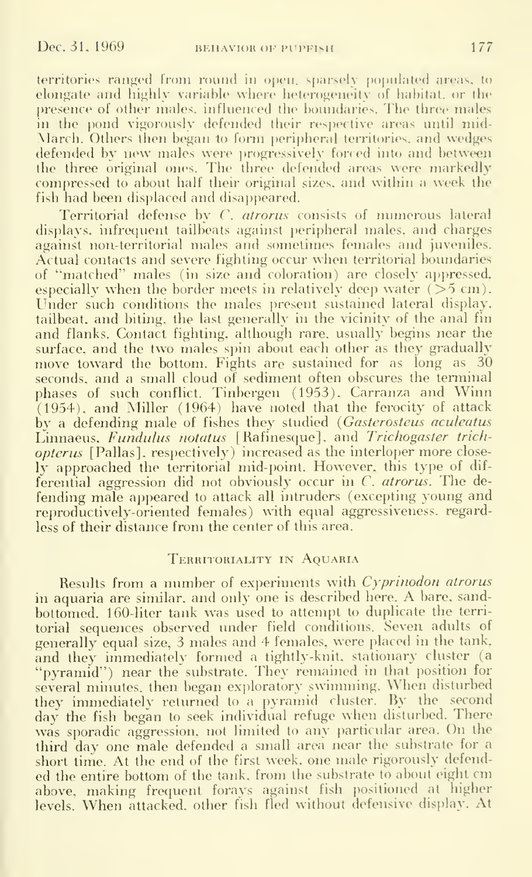territories ranged from round in open, sparsely populated areas, to elongate and highly variable where heterogeneity of habitat, or the presence of other males, influenced the boundaries. The three males in the pond vigorously defended their respective areas until mid-March. Others then began to form peripheral territories, and wedges defended by new males were progressively forced into and between the three original ones. The three defended areas were markedly compressed to about half their original sizes, and within a week the fish had been displaced and disappeared.

Territorial defense by C. atrorus consists of numerous lateral displays, infrequent tailbeats against peripheral males, and charges against non-territorial males and sometimes females and juveniles. Actual contacts and severe fighting occur when territorial boundaries of "matched" males (in size and coloration) are closely appressed, especially when the border meets in relatively deep water ( $>5$  cm). Under such conditions the males present sustained lateral display. tailbeat. and biting, the last generally in the vicinity of the anal fin and flanks. Contact fighting, although rare, usually begins near the surface, and the two males spin about each other as they gradually move toward the bottom. Fights are sustained for as long as 30 seconds, and a small cloud of sediment often obscures the terminal phases of such conflict. Tinbergen (1953). Carranza and Winn (1954), and Miller (1964) have noted that the ferocity of attack by a defending male of fishes they studied (Gasterosteus aculeatus Linnaeus. Fundulus notatus [Rafinesque]. and Trichogaster trichopterus [Pallas], respectively) increased as the interloper more closely approached the territorial mid-point. However, this type of dif ferential aggression did not obviously occur in C. atrorus. The defending male appeared to attack all intruders (excepting young and reproductively-oriented females) with equal aggressiveness, regardless of their distance from the center of this area.

#### TERRITORIALITY IN AQUARIA

Results from a number of experiments with Cyprinodon atrorus in aquaria are similar, and only one is described here. A bare, sandbottomed. 160-liter tank was used to attempt to duplicate the territorial sequences observed under field conditions. Seven adults of generally equal size, 3 males and 4 females, were placed in the tank, and they immediately formed a tightly-knit, stationary cluster (a "pyramid") near the substrate. They remained in that position for several minutes, then began exploratory swimming. When disturbed they immediately returned to <sup>a</sup> pyramid cluster. By the second day the fish began to seek individual refuge when disturbed. There was sporadic aggression, not limited to any particular area. On the third day one male defended <sup>a</sup> small area near the substrate for a short time. At the end of the first week, one male rigorously defended the entire bottom of the tank, from the substrate to about eight cm above, making frequent forays against fish positioned at higher levels. When attacked, other fish fled without defensive display. At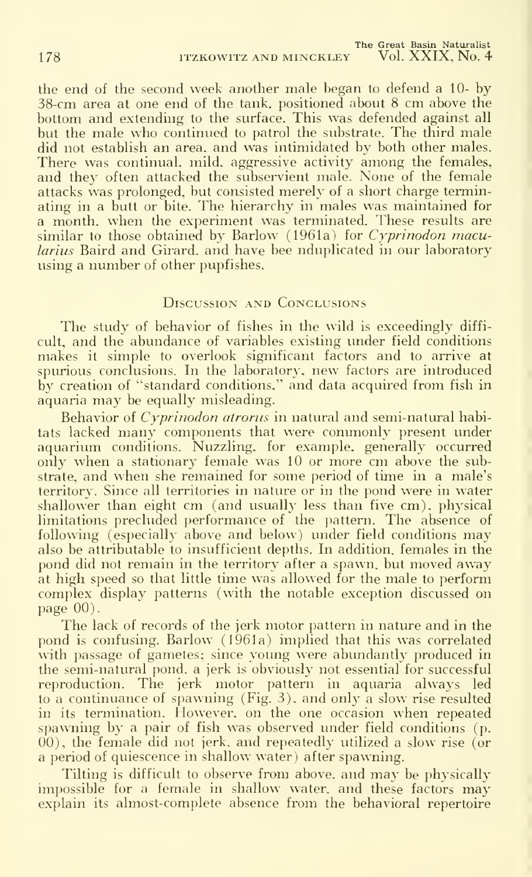the end of the second week another male began to defend a 10- by 38-cni area at one end of the tank, positioned about <sup>8</sup> cm above the bottom and extending to the surface. This was defended against all but the male who continued to patrol the substrate. The third male did not establish an area, and was intimidated by both other males. There was continual, mild, aggressive activity among the females, and they often attacked the subservient male. None of the female attacks was prolonged, but consisted merely of a short charge terminating in a butt or bite. The hierarchy in males was maintained for <sup>a</sup> month, when the experiment was terminated. These results are similar to those obtained by Barlow  $(1961a)$  for Cyprinodon macularius Baird and Girard, and have bee nduplicated in our laboratory using <sup>a</sup> number of other pupfishes.

### DISCUSSION AND CONCLUSIONS

The study of behavior of fishes in the wild is exceedingly diffi cult, and the abundance of variables existing under field conditions makes it simple to overlook significant factors and to arrive at spurious conclusions. In the laboratory, new factors are introduced by creation of "standard conditions," and data acquired from fish in aquaria may be equally misleading.

Behavior of *Cyprinodon atrorus* in natural and semi-natural habitats lacked many components that were commonly present under aquarium conditions. Nuzzling, for example, generally occurred only when <sup>a</sup> stationary female was 10 or more cm above the substrate, and when she remained for some period of time in <sup>a</sup> male's territory. Since all territories in nature or in the pond were in water shallower than eight cm (and usually less than five cm), physical limitations precluded performance of the pattern. The absence of following (especially above and below) under field conditions may also be attributable to insufficient depths. In addition, females in the pond did not remain in the territory after <sup>a</sup> spawn, but moved away at high speed so that little time was allowed for the male to perform complex display patterns (with the notable exception discussed on page 00).

The lack of records of the jerk motor pattern in nature and in the pond is confusing. Barlow (1961a) implied that this was correlated with passage of gametes; since young were abundantly produced in the semi-natural pond, a jerk is obviously not essential for successful reproduction. The jerk motor pattern in aquaria always led to a continuance of spawning (Fig. 3). and only a slow rise resulted in its termination. However, on the one occasion when repeated spawning by <sup>a</sup> pair of fish was observed under field conditions (p.  $(00)$ , the female did not jerk, and repeatedly utilized a slow rise (or a period of quiescence in shallow water) after spawning.

Tilting is difficult to observe from above, and may be physically impossible for <sup>a</sup> female in shallow water, and these factors may explain its almost-complete absence from the behavioral repertoire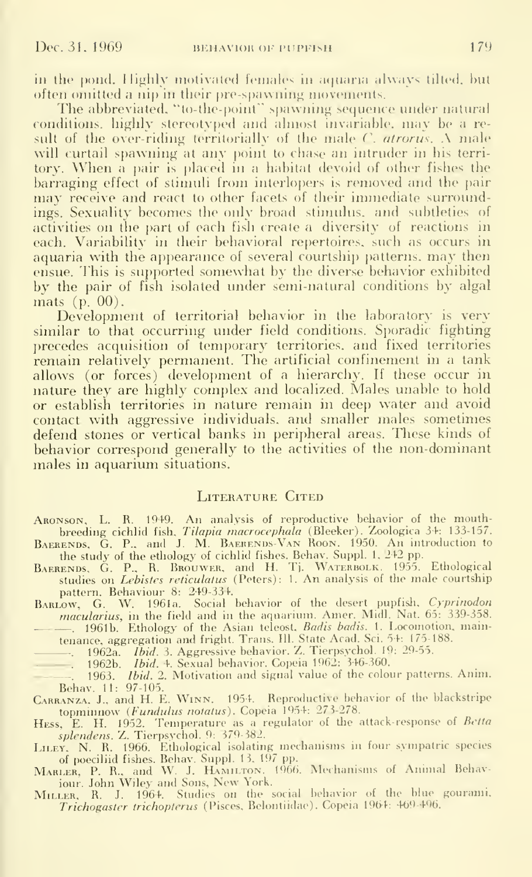in the pond. Highly motivated females in aquaria always tilted, but often omitted a nip in their pre-spawning movements.

The abbreviated. "to-the-point" spawning sequence under natural conditions. highly stereotyped and almost invariable, may be a result of the over-riding territorially of the male  $C$ , atrorus. A male will curtail spawning at any point to chase an intruder in his territory. When <sup>a</sup> pair is placed in <sup>a</sup> habitat devoid of other fishes the barraging effect of stimuli from interlopers is removed and the pair may receive and react to other facets of their immediate surroundings. Sexuality becomes the only broad stimulus, and subtleties of activities on the part of each fish create a diversity of reactions in each. Variability in their behavioral repertoires, such as occurs in aquaria with the appearance of several courtship patterns, may then ensue. This is supported somewhat by the diverse behavior exhibited by the pair of fish isolated under semi-natural conditions by algal mats (p. 00).

Development of territorial behavior in the laboratory is very similar to that occurring under field conditions. Sporadic fighting precedes acquisition of temporary territories, and fixed territories remain relatively permanent. The artificial confinement in <sup>a</sup> tank allows (or forces) development of a hierarchy. If these occur in nature they are highly complex and localized. Males unable to hold or establish territories in nature remain in deep water and avoid contact with aggressive individuals, and smaller males sometimes defend stones or vertical banks in peripheral areas. These kinds of behavior correspond generally to the activities of the non-dominant males in aquarium situations.

#### LITERATURE CITED

Aronson, L. R. 1949. An analysis of reproductive behavior of the mouthbreeding cichlid fish, *Tilapia macrocephala* (Bleeker). Zoologica 34: 133-157.<br>Baerends. G. P., and J. M. Baerends-Van Roon. 1950. An introduction to the study of the ethology of cichlid fishes. Behav. Suppl. 1, 242 pp.

- BAERENDS, G. P., R. BROUWER, and H. Tj. WATERBOLK. 1955. Ethological studies on *Lebistes reticulatus* (Peters): 1. An analysis of the male courtship
- pattern. Behaviour 8: 249-334.<br>Barlow, G. W. 1961a. Social behavior of the desert pupfish. *Cyprinodon* macularius, in the field and in the aquarium. Amer. Midi. Nat. 65: 339-358.
	- . 1961b. Ethology of the Asian teleost, Badis badis. 1. Locomotion, maintenance, aggregation and fright. Trans. 111. State Acad. Sci. 54: 175-188.
	- . 1962a. Ibid. 3. Aggressive behavior. Z. Tierpsychol. 19: 29-55.
	- . 1962b. Ibid. 4. Sexual behavior. Copeia 1962: 346-360.
- 1963. Ibid. 2. Motivation and signal value of the colour patterns. Anim. Behav. 11: 97-105.
- Carranza, J., and H. E. Winn. 1954. Reproductive behavior of the blackstripe topminnow (Fundulus notatus). Copeia 1954: 273-278.
- HESS, E. H. 1952. Temperature as a regulator of the attack-response of Betta splendens. Z. Tierpsychol. 9: 379-382.
- 
- LILEY, N. R. 1966. Ethological isolating mechanisms in four sympatric species<br>of poeciliid fishes. Behav. Suppl. 13, 197 pp.<br>MARLER, P. R., and W. J. HAMILTON. 1966. Mechanisms of Animal Behaviour. John Wiley and Sons, New
- Miller, R. J. 1964. Studies on the social behavior of the blue gourami.<br>*Trichogaster trichopterus* (Pisces, Belontiidae). Copeia 1964: 469-496.